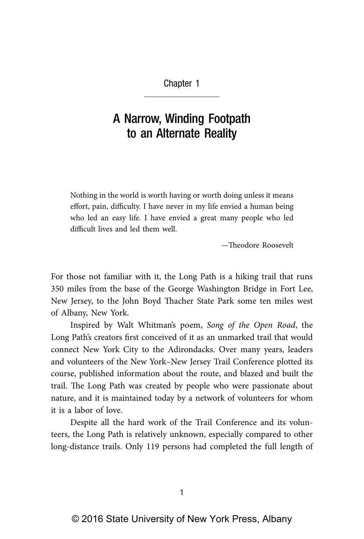## Chapter 1

## A Narrow, Winding Footpath to an Alternate Reality

Nothing in the world is worth having or worth doing unless it means effort, pain, difficulty. I have never in my life envied a human being who led an easy life. I have envied a great many people who led difficult lives and led them well.

—Theodore Roosevelt

For those not familiar with it, the Long Path is a hiking trail that runs 350 miles from the base of the George Washington Bridge in Fort Lee, New Jersey, to the John Boyd Thacher State Park some ten miles west of Albany, New York.

Inspired by Walt Whitman's poem, *Song of the Open Road*, the Long Path's creators first conceived of it as an unmarked trail that would connect New York City to the Adirondacks. Over many years, leaders and volunteers of the New York–New Jersey Trail Conference plotted its course, published information about the route, and blazed and built the trail. The Long Path was created by people who were passionate about nature, and it is maintained today by a network of volunteers for whom it is a labor of love.

Despite all the hard work of the Trail Conference and its volunteers, the Long Path is relatively unknown, especially compared to other long-distance trails. Only 119 persons had completed the full length of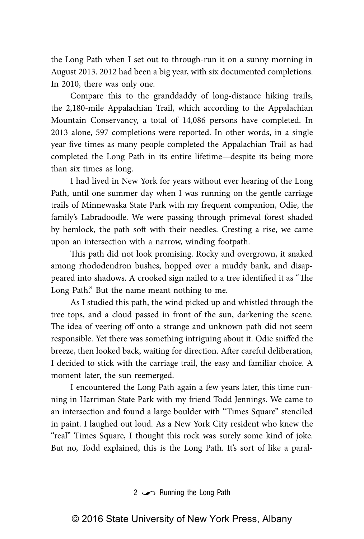the Long Path when I set out to through-run it on a sunny morning in August 2013. 2012 had been a big year, with six documented completions. In 2010, there was only one.

Compare this to the granddaddy of long-distance hiking trails, the 2,180-mile Appalachian Trail, which according to the Appalachian Mountain Conservancy, a total of 14,086 persons have completed. In 2013 alone, 597 completions were reported. In other words, in a single year five times as many people completed the Appalachian Trail as had completed the Long Path in its entire lifetime—despite its being more than six times as long.

I had lived in New York for years without ever hearing of the Long Path, until one summer day when I was running on the gentle carriage trails of Minnewaska State Park with my frequent companion, Odie, the family's Labradoodle. We were passing through primeval forest shaded by hemlock, the path soft with their needles. Cresting a rise, we came upon an intersection with a narrow, winding footpath.

This path did not look promising. Rocky and overgrown, it snaked among rhododendron bushes, hopped over a muddy bank, and disappeared into shadows. A crooked sign nailed to a tree identified it as "The Long Path." But the name meant nothing to me.

As I studied this path, the wind picked up and whistled through the tree tops, and a cloud passed in front of the sun, darkening the scene. The idea of veering off onto a strange and unknown path did not seem responsible. Yet there was something intriguing about it. Odie sniffed the breeze, then looked back, waiting for direction. After careful deliberation, I decided to stick with the carriage trail, the easy and familiar choice. A moment later, the sun reemerged.

I encountered the Long Path again a few years later, this time running in Harriman State Park with my friend Todd Jennings. We came to an intersection and found a large boulder with "Times Square" stenciled in paint. I laughed out loud. As a New York City resident who knew the "real" Times Square, I thought this rock was surely some kind of joke. But no, Todd explained, this is the Long Path. It's sort of like a paral-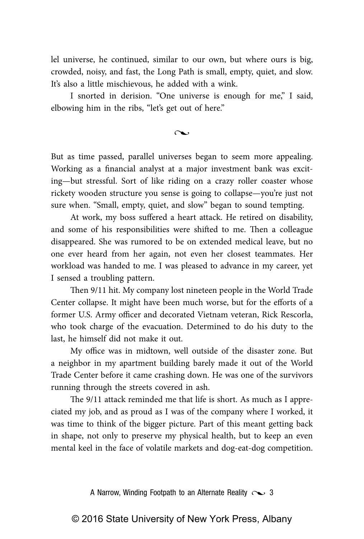lel universe, he continued, similar to our own, but where ours is big, crowded, noisy, and fast, the Long Path is small, empty, quiet, and slow. It's also a little mischievous, he added with a wink.

I snorted in derision. "One universe is enough for me," I said, elbowing him in the ribs, "let's get out of here."

 $\sim$ 

But as time passed, parallel universes began to seem more appealing. Working as a financial analyst at a major investment bank was exciting—but stressful. Sort of like riding on a crazy roller coaster whose rickety wooden structure you sense is going to collapse—you're just not sure when. "Small, empty, quiet, and slow" began to sound tempting.

At work, my boss suffered a heart attack. He retired on disability, and some of his responsibilities were shifted to me. Then a colleague disappeared. She was rumored to be on extended medical leave, but no one ever heard from her again, not even her closest teammates. Her workload was handed to me. I was pleased to advance in my career, yet I sensed a troubling pattern.

Then 9/11 hit. My company lost nineteen people in the World Trade Center collapse. It might have been much worse, but for the efforts of a former U.S. Army officer and decorated Vietnam veteran, Rick Rescorla, who took charge of the evacuation. Determined to do his duty to the last, he himself did not make it out.

My office was in midtown, well outside of the disaster zone. But a neighbor in my apartment building barely made it out of the World Trade Center before it came crashing down. He was one of the survivors running through the streets covered in ash.

The 9/11 attack reminded me that life is short. As much as I appreciated my job, and as proud as I was of the company where I worked, it was time to think of the bigger picture. Part of this meant getting back in shape, not only to preserve my physical health, but to keep an even mental keel in the face of volatile markets and dog-eat-dog competition.

A Narrow, Winding Footpath to an Alternate Reality  $\sim$  3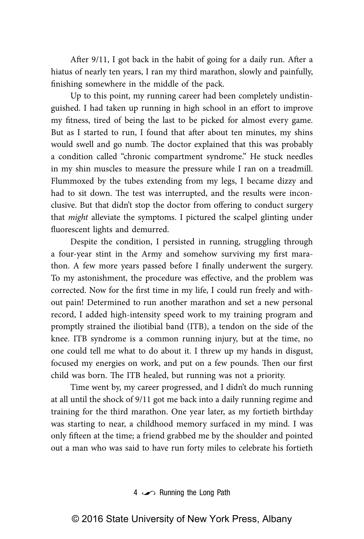After 9/11, I got back in the habit of going for a daily run. After a hiatus of nearly ten years, I ran my third marathon, slowly and painfully, finishing somewhere in the middle of the pack.

Up to this point, my running career had been completely undistinguished. I had taken up running in high school in an effort to improve my fitness, tired of being the last to be picked for almost every game. But as I started to run, I found that after about ten minutes, my shins would swell and go numb. The doctor explained that this was probably a condition called "chronic compartment syndrome." He stuck needles in my shin muscles to measure the pressure while I ran on a treadmill. Flummoxed by the tubes extending from my legs, I became dizzy and had to sit down. The test was interrupted, and the results were inconclusive. But that didn't stop the doctor from offering to conduct surgery that *might* alleviate the symptoms. I pictured the scalpel glinting under fluorescent lights and demurred.

Despite the condition, I persisted in running, struggling through a four-year stint in the Army and somehow surviving my first marathon. A few more years passed before I finally underwent the surgery. To my astonishment, the procedure was effective, and the problem was corrected. Now for the first time in my life, I could run freely and without pain! Determined to run another marathon and set a new personal record, I added high-intensity speed work to my training program and promptly strained the iliotibial band (ITB), a tendon on the side of the knee. ITB syndrome is a common running injury, but at the time, no one could tell me what to do about it. I threw up my hands in disgust, focused my energies on work, and put on a few pounds. Then our first child was born. The ITB healed, but running was not a priority.

Time went by, my career progressed, and I didn't do much running at all until the shock of 9/11 got me back into a daily running regime and training for the third marathon. One year later, as my fortieth birthday was starting to near, a childhood memory surfaced in my mind. I was only fifteen at the time; a friend grabbed me by the shoulder and pointed out a man who was said to have run forty miles to celebrate his fortieth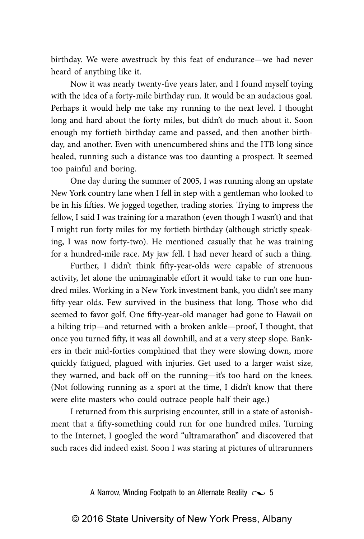birthday. We were awestruck by this feat of endurance—we had never heard of anything like it.

Now it was nearly twenty-five years later, and I found myself toying with the idea of a forty-mile birthday run. It would be an audacious goal. Perhaps it would help me take my running to the next level. I thought long and hard about the forty miles, but didn't do much about it. Soon enough my fortieth birthday came and passed, and then another birthday, and another. Even with unencumbered shins and the ITB long since healed, running such a distance was too daunting a prospect. It seemed too painful and boring.

One day during the summer of 2005, I was running along an upstate New York country lane when I fell in step with a gentleman who looked to be in his fifties. We jogged together, trading stories. Trying to impress the fellow, I said I was training for a marathon (even though I wasn't) and that I might run forty miles for my fortieth birthday (although strictly speaking, I was now forty-two). He mentioned casually that he was training for a hundred-mile race. My jaw fell. I had never heard of such a thing.

Further, I didn't think fifty-year-olds were capable of strenuous activity, let alone the unimaginable effort it would take to run one hundred miles. Working in a New York investment bank, you didn't see many fifty-year olds. Few survived in the business that long. Those who did seemed to favor golf. One fifty-year-old manager had gone to Hawaii on a hiking trip—and returned with a broken ankle—proof, I thought, that once you turned fifty, it was all downhill, and at a very steep slope. Bankers in their mid-forties complained that they were slowing down, more quickly fatigued, plagued with injuries. Get used to a larger waist size, they warned, and back off on the running—it's too hard on the knees. (Not following running as a sport at the time, I didn't know that there were elite masters who could outrace people half their age.)

I returned from this surprising encounter, still in a state of astonishment that a fifty-something could run for one hundred miles. Turning to the Internet, I googled the word "ultramarathon" and discovered that such races did indeed exist. Soon I was staring at pictures of ultrarunners

A Narrow, Winding Footpath to an Alternate Reality  $\sim$  5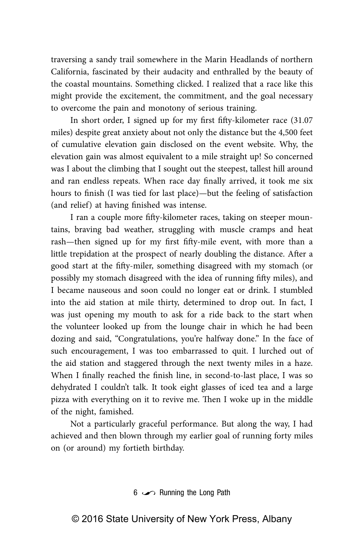traversing a sandy trail somewhere in the Marin Headlands of northern California, fascinated by their audacity and enthralled by the beauty of the coastal mountains. Something clicked. I realized that a race like this might provide the excitement, the commitment, and the goal necessary to overcome the pain and monotony of serious training.

In short order, I signed up for my first fifty-kilometer race (31.07 miles) despite great anxiety about not only the distance but the 4,500 feet of cumulative elevation gain disclosed on the event website. Why, the elevation gain was almost equivalent to a mile straight up! So concerned was I about the climbing that I sought out the steepest, tallest hill around and ran endless repeats. When race day finally arrived, it took me six hours to finish (I was tied for last place)—but the feeling of satisfaction (and relief) at having finished was intense.

I ran a couple more fifty-kilometer races, taking on steeper mountains, braving bad weather, struggling with muscle cramps and heat rash—then signed up for my first fifty-mile event, with more than a little trepidation at the prospect of nearly doubling the distance. After a good start at the fifty-miler, something disagreed with my stomach (or possibly my stomach disagreed with the idea of running fifty miles), and I became nauseous and soon could no longer eat or drink. I stumbled into the aid station at mile thirty, determined to drop out. In fact, I was just opening my mouth to ask for a ride back to the start when the volunteer looked up from the lounge chair in which he had been dozing and said, "Congratulations, you're halfway done." In the face of such encouragement, I was too embarrassed to quit. I lurched out of the aid station and staggered through the next twenty miles in a haze. When I finally reached the finish line, in second-to-last place, I was so dehydrated I couldn't talk. It took eight glasses of iced tea and a large pizza with everything on it to revive me. Then I woke up in the middle of the night, famished.

Not a particularly graceful performance. But along the way, I had achieved and then blown through my earlier goal of running forty miles on (or around) my fortieth birthday.

6  $\sim$  Running the Long Path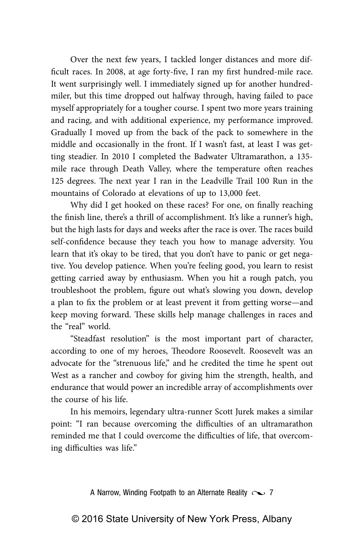Over the next few years, I tackled longer distances and more difficult races. In 2008, at age forty-five, I ran my first hundred-mile race. It went surprisingly well. I immediately signed up for another hundredmiler, but this time dropped out halfway through, having failed to pace myself appropriately for a tougher course. I spent two more years training and racing, and with additional experience, my performance improved. Gradually I moved up from the back of the pack to somewhere in the middle and occasionally in the front. If I wasn't fast, at least I was getting steadier. In 2010 I completed the Badwater Ultramarathon, a 135 mile race through Death Valley, where the temperature often reaches 125 degrees. The next year I ran in the Leadville Trail 100 Run in the mountains of Colorado at elevations of up to 13,000 feet.

Why did I get hooked on these races? For one, on finally reaching the finish line, there's a thrill of accomplishment. It's like a runner's high, but the high lasts for days and weeks after the race is over. The races build self-confidence because they teach you how to manage adversity. You learn that it's okay to be tired, that you don't have to panic or get negative. You develop patience. When you're feeling good, you learn to resist getting carried away by enthusiasm. When you hit a rough patch, you troubleshoot the problem, figure out what's slowing you down, develop a plan to fix the problem or at least prevent it from getting worse—and keep moving forward. These skills help manage challenges in races and the "real" world.

"Steadfast resolution" is the most important part of character, according to one of my heroes, Theodore Roosevelt. Roosevelt was an advocate for the "strenuous life," and he credited the time he spent out West as a rancher and cowboy for giving him the strength, health, and endurance that would power an incredible array of accomplishments over the course of his life.

In his memoirs, legendary ultra-runner Scott Jurek makes a similar point: "I ran because overcoming the difficulties of an ultramarathon reminded me that I could overcome the difficulties of life, that overcoming difficulties was life."

A Narrow, Winding Footpath to an Alternate Reality  $\sim$  7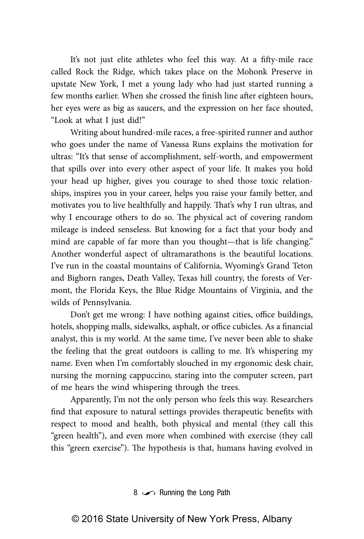It's not just elite athletes who feel this way. At a fifty-mile race called Rock the Ridge, which takes place on the Mohonk Preserve in upstate New York, I met a young lady who had just started running a few months earlier. When she crossed the finish line after eighteen hours, her eyes were as big as saucers, and the expression on her face shouted, "Look at what I just did!"

Writing about hundred-mile races, a free-spirited runner and author who goes under the name of Vanessa Runs explains the motivation for ultras: "It's that sense of accomplishment, self-worth, and empowerment that spills over into every other aspect of your life. It makes you hold your head up higher, gives you courage to shed those toxic relationships, inspires you in your career, helps you raise your family better, and motivates you to live healthfully and happily. That's why I run ultras, and why I encourage others to do so. The physical act of covering random mileage is indeed senseless. But knowing for a fact that your body and mind are capable of far more than you thought—that is life changing." Another wonderful aspect of ultramarathons is the beautiful locations. I've run in the coastal mountains of California, Wyoming's Grand Teton and Bighorn ranges, Death Valley, Texas hill country, the forests of Vermont, the Florida Keys, the Blue Ridge Mountains of Virginia, and the wilds of Pennsylvania.

Don't get me wrong: I have nothing against cities, office buildings, hotels, shopping malls, sidewalks, asphalt, or office cubicles. As a financial analyst, this is my world. At the same time, I've never been able to shake the feeling that the great outdoors is calling to me. It's whispering my name. Even when I'm comfortably slouched in my ergonomic desk chair, nursing the morning cappuccino, staring into the computer screen, part of me hears the wind whispering through the trees.

Apparently, I'm not the only person who feels this way. Researchers find that exposure to natural settings provides therapeutic benefits with respect to mood and health, both physical and mental (they call this "green health"), and even more when combined with exercise (they call this "green exercise"). The hypothesis is that, humans having evolved in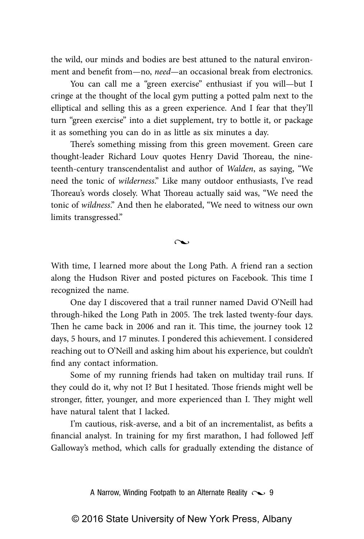the wild, our minds and bodies are best attuned to the natural environment and benefit from—no, *need*—an occasional break from electronics.

You can call me a "green exercise" enthusiast if you will—but I cringe at the thought of the local gym putting a potted palm next to the elliptical and selling this as a green experience. And I fear that they'll turn "green exercise" into a diet supplement, try to bottle it, or package it as something you can do in as little as six minutes a day.

There's something missing from this green movement. Green care thought-leader Richard Louv quotes Henry David Thoreau, the nineteenth-century transcendentalist and author of *Walden*, as saying, "We need the tonic of *wilderness*." Like many outdoor enthusiasts, I've read Thoreau's words closely. What Thoreau actually said was, "We need the tonic of *wildness*." And then he elaborated, "We need to witness our own limits transgressed."

 $\sim$ 

With time, I learned more about the Long Path. A friend ran a section along the Hudson River and posted pictures on Facebook. This time I recognized the name.

One day I discovered that a trail runner named David O'Neill had through-hiked the Long Path in 2005. The trek lasted twenty-four days. Then he came back in 2006 and ran it. This time, the journey took 12 days, 5 hours, and 17 minutes. I pondered this achievement. I considered reaching out to O'Neill and asking him about his experience, but couldn't find any contact information.

Some of my running friends had taken on multiday trail runs. If they could do it, why not I? But I hesitated. Those friends might well be stronger, fitter, younger, and more experienced than I. They might well have natural talent that I lacked.

I'm cautious, risk-averse, and a bit of an incrementalist, as befits a financial analyst. In training for my first marathon, I had followed Jeff Galloway's method, which calls for gradually extending the distance of

A Narrow, Winding Footpath to an Alternate Reality  $\sim$  9

© 2016 State University of New York Press, Albany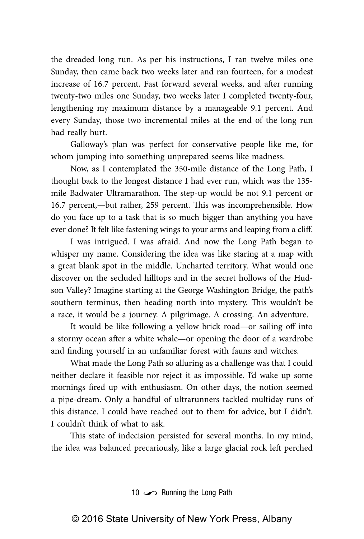the dreaded long run. As per his instructions, I ran twelve miles one Sunday, then came back two weeks later and ran fourteen, for a modest increase of 16.7 percent. Fast forward several weeks, and after running twenty-two miles one Sunday, two weeks later I completed twenty-four, lengthening my maximum distance by a manageable 9.1 percent. And every Sunday, those two incremental miles at the end of the long run had really hurt.

Galloway's plan was perfect for conservative people like me, for whom jumping into something unprepared seems like madness.

Now, as I contemplated the 350-mile distance of the Long Path, I thought back to the longest distance I had ever run, which was the 135 mile Badwater Ultramarathon. The step-up would be not 9.1 percent or 16.7 percent,—but rather, 259 percent. This was incomprehensible. How do you face up to a task that is so much bigger than anything you have ever done? It felt like fastening wings to your arms and leaping from a cliff.

I was intrigued. I was afraid. And now the Long Path began to whisper my name. Considering the idea was like staring at a map with a great blank spot in the middle. Uncharted territory. What would one discover on the secluded hilltops and in the secret hollows of the Hudson Valley? Imagine starting at the George Washington Bridge, the path's southern terminus, then heading north into mystery. This wouldn't be a race, it would be a journey. A pilgrimage. A crossing. An adventure.

It would be like following a yellow brick road—or sailing off into a stormy ocean after a white whale—or opening the door of a wardrobe and finding yourself in an unfamiliar forest with fauns and witches.

What made the Long Path so alluring as a challenge was that I could neither declare it feasible nor reject it as impossible. I'd wake up some mornings fired up with enthusiasm. On other days, the notion seemed a pipe-dream. Only a handful of ultrarunners tackled multiday runs of this distance. I could have reached out to them for advice, but I didn't. I couldn't think of what to ask.

This state of indecision persisted for several months. In my mind, the idea was balanced precariously, like a large glacial rock left perched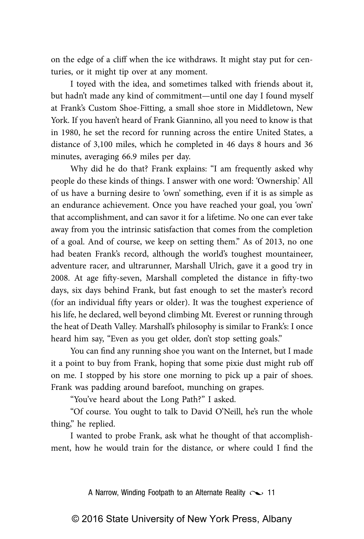on the edge of a cliff when the ice withdraws. It might stay put for centuries, or it might tip over at any moment.

I toyed with the idea, and sometimes talked with friends about it, but hadn't made any kind of commitment—until one day I found myself at Frank's Custom Shoe-Fitting, a small shoe store in Middletown, New York. If you haven't heard of Frank Giannino, all you need to know is that in 1980, he set the record for running across the entire United States, a distance of 3,100 miles, which he completed in 46 days 8 hours and 36 minutes, averaging 66.9 miles per day.

Why did he do that? Frank explains: "I am frequently asked why people do these kinds of things. I answer with one word: 'Ownership.' All of us have a burning desire to 'own' something, even if it is as simple as an endurance achievement. Once you have reached your goal, you 'own' that accomplishment, and can savor it for a lifetime. No one can ever take away from you the intrinsic satisfaction that comes from the completion of a goal. And of course, we keep on setting them." As of 2013, no one had beaten Frank's record, although the world's toughest mountaineer, adventure racer, and ultrarunner, Marshall Ulrich, gave it a good try in 2008. At age fifty-seven, Marshall completed the distance in fifty-two days, six days behind Frank, but fast enough to set the master's record (for an individual fifty years or older). It was the toughest experience of his life, he declared, well beyond climbing Mt. Everest or running through the heat of Death Valley. Marshall's philosophy is similar to Frank's: I once heard him say, "Even as you get older, don't stop setting goals."

You can find any running shoe you want on the Internet, but I made it a point to buy from Frank, hoping that some pixie dust might rub off on me. I stopped by his store one morning to pick up a pair of shoes. Frank was padding around barefoot, munching on grapes.

"You've heard about the Long Path?" I asked.

"Of course. You ought to talk to David O'Neill, he's run the whole thing," he replied.

I wanted to probe Frank, ask what he thought of that accomplishment, how he would train for the distance, or where could I find the

A Narrow, Winding Footpath to an Alternate Reality  $\sim$  11

© 2016 State University of New York Press, Albany